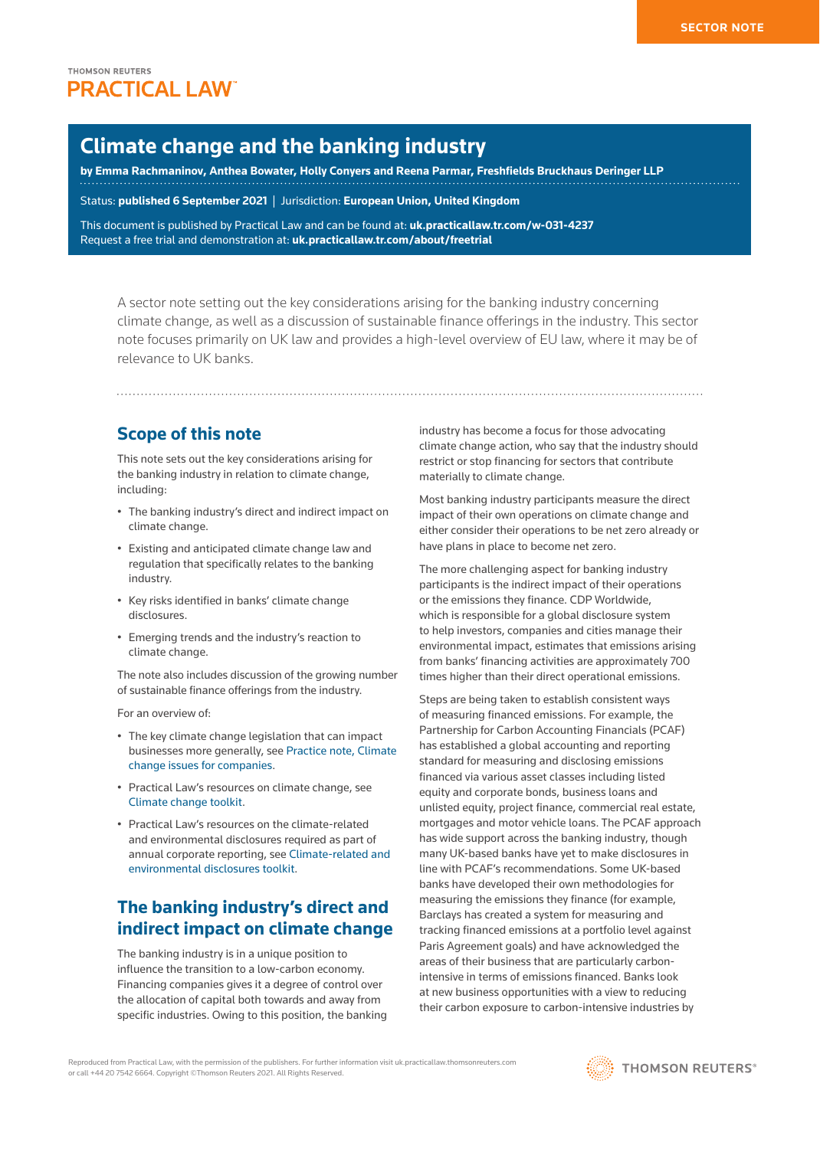# **Climate change and the banking industry**

**by [Emma Rachmaninov,](https://www.freshfields.com/en-gb/contacts/find-a-lawyer/r/rachmaninov-emma/) [Anthea Bowater](https://www.freshfields.com/en-gb/contacts/find-a-lawyer/b/bowater-anthea/), [Holly Conyers](https://www.freshfields.com/en-gb/contacts/find-a-lawyer/c/conyers-holly/) and [Reena Parmar,](https://www.freshfields.com/en-gb/contacts/find-a-lawyer/p/parmar-reena/) Freshfields Bruckhaus Deringer LLP**

Status: **published 6 September 2021** | Jurisdiction: **European Union, United Kingdom**

This document is published by Practical Law and can be found at: **[uk.practicallaw.tr.com/w-031-4237](http://uk.practicallaw.tr.com/w-031-4237)** Request a free trial and demonstration at: **[uk.practicallaw.tr.com/about/freetrial](http://uk.practicallaw.tr.com/about/freetrial)**

A sector note setting out the key considerations arising for the banking industry concerning climate change, as well as a discussion of sustainable finance offerings in the industry. This sector note focuses primarily on UK law and provides a high-level overview of EU law, where it may be of relevance to UK banks.

## **Scope of this note**

This note sets out the key considerations arising for the banking industry in relation to climate change, including:

- The banking industry's direct and indirect impact on climate change.
- Existing and anticipated climate change law and regulation that specifically relates to the banking industry.
- Key risks identified in banks' climate change disclosures.
- Emerging trends and the industry's reaction to climate change.

The note also includes discussion of the growing number of sustainable finance offerings from the industry.

For an overview of:

- The key climate change legislation that can impact businesses more generally, see [Practice note, Climate](http://uk.practicallaw.tr.com/2-378-9392)  [change issues for companies](http://uk.practicallaw.tr.com/2-378-9392).
- Practical Law's resources on climate change, see [Climate change toolkit.](http://uk.practicallaw.tr.com/w-022-8191)
- Practical Law's resources on the climate-related and environmental disclosures required as part of annual corporate reporting, see [Climate-related and](http://uk.practicallaw.tr.com/5-501-2161)  [environmental disclosures toolkit](http://uk.practicallaw.tr.com/5-501-2161).

# **The banking industry's direct and indirect impact on climate change**

The banking industry is in a unique position to influence the transition to a low-carbon economy. Financing companies gives it a degree of control over the allocation of capital both towards and away from specific industries. Owing to this position, the banking industry has become a focus for those advocating climate change action, who say that the industry should restrict or stop financing for sectors that contribute materially to climate change.

Most banking industry participants measure the direct impact of their own operations on climate change and either consider their operations to be net zero already or have plans in place to become net zero.

The more challenging aspect for banking industry participants is the indirect impact of their operations or the emissions they finance. CDP Worldwide, which is responsible for a global disclosure system to help investors, companies and cities manage their environmental impact, estimates that emissions arising from banks' financing activities are approximately 700 times higher than their direct operational emissions.

Steps are being taken to establish consistent ways of measuring financed emissions. For example, the Partnership for Carbon Accounting Financials (PCAF) has established a global accounting and reporting standard for measuring and disclosing emissions financed via various asset classes including listed equity and corporate bonds, business loans and unlisted equity, project finance, commercial real estate, mortgages and motor vehicle loans. The PCAF approach has wide support across the banking industry, though many UK-based banks have yet to make disclosures in line with PCAF's recommendations. Some UK-based banks have developed their own methodologies for measuring the emissions they finance (for example, Barclays has created a system for measuring and tracking financed emissions at a portfolio level against Paris Agreement goals) and have acknowledged the areas of their business that are particularly carbonintensive in terms of emissions financed. Banks look at new business opportunities with a view to reducing their carbon exposure to carbon-intensive industries by

Reproduced from Practical Law, with the permission of the publishers. For further information visit uk.practicallaw.thomsonreuters.com or call +44 20 7542 6664. Copyright ©Thomson Reuters 2021. All Rights Reserved.

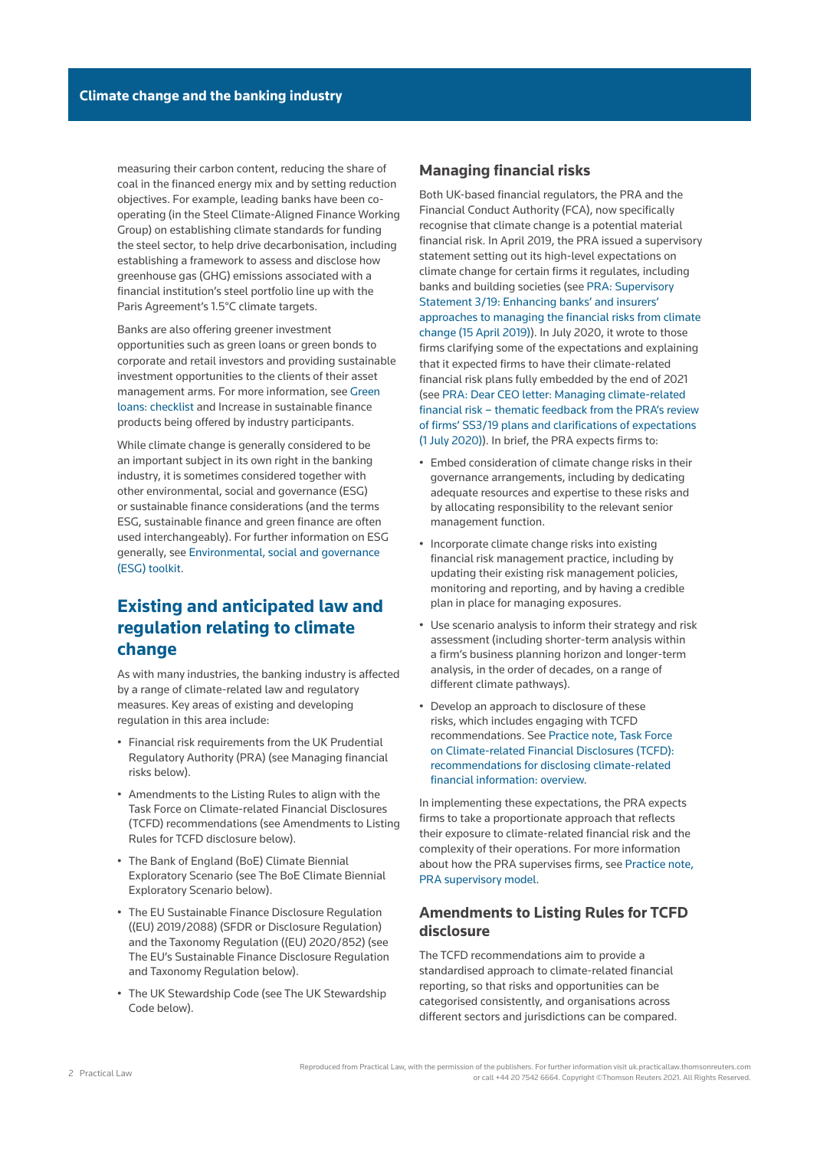measuring their carbon content, reducing the share of coal in the financed energy mix and by setting reduction objectives. For example, leading banks have been cooperating (in the Steel Climate-Aligned Finance Working Group) on establishing climate standards for funding the steel sector, to help drive decarbonisation, including establishing a framework to assess and disclose how greenhouse gas (GHG) emissions associated with a financial institution's steel portfolio line up with the Paris Agreement's 1.5°C climate targets.

Banks are also offering greener investment opportunities such as green loans or green bonds to corporate and retail investors and providing sustainable investment opportunities to the clients of their asset management arms. For more information, see [Green](http://uk.practicallaw.tr.com/w-031-4458)  [loans: checklist](http://uk.practicallaw.tr.com/w-031-4458) and [Increase in sustainable finance](file:///Production/Composition/Thomson/Incoming/2021/090621/#co_anchor_a281130_1)  [products being offered by industry participants](file:///Production/Composition/Thomson/Incoming/2021/090621/#co_anchor_a281130_1).

While climate change is generally considered to be an important subject in its own right in the banking industry, it is sometimes considered together with other environmental, social and governance (ESG) or sustainable finance considerations (and the terms ESG, sustainable finance and green finance are often used interchangeably). For further information on ESG generally, see [Environmental, social and governance](http://uk.practicallaw.tr.com/9-502-2097)  [\(ESG\) toolkit](http://uk.practicallaw.tr.com/9-502-2097).

## **Existing and anticipated law and regulation relating to climate change**

As with many industries, the banking industry is affected by a range of climate-related law and regulatory measures. Key areas of existing and developing regulation in this area include:

- Financial risk requirements from the UK Prudential Regulatory Authority (PRA) (see [Managing financial](file:///Production/Composition/Thomson/Incoming/2021/090621/#co_anchor_a338481_1)  [risks](file:///Production/Composition/Thomson/Incoming/2021/090621/#co_anchor_a338481_1) below).
- Amendments to the Listing Rules to align with the Task Force on Climate-related Financial Disclosures (TCFD) recommendations (see [Amendments to Listing](file:///Production/Composition/Thomson/Incoming/2021/090621/#co_anchor_a779350_1) [Rules for TCFD disclosure](file:///Production/Composition/Thomson/Incoming/2021/090621/#co_anchor_a779350_1) below).
- The Bank of England (BoE) Climate Biennial Exploratory Scenario (see [The BoE Climate Biennial](file:///Production/Composition/Thomson/Incoming/2021/090621/#co_anchor_a961298_1)  [Exploratory Scenario](file:///Production/Composition/Thomson/Incoming/2021/090621/#co_anchor_a961298_1) below).
- The EU [Sustainable Finance Disclosure Regulation](https://uk.practicallaw.thomsonreuters.com/w-023-1439)  [\(\(EU\) 2019/2088\)](https://uk.practicallaw.thomsonreuters.com/w-023-1439) (SFDR or Disclosure Regulation) and the [Taxonomy Regulation \(\(EU\) 2020/852\)](http://uk.practicallaw.thomsonreuters.com/w-026-1996?originationContext=document&vr=3.0&rs=PLUK1.0&transitionType=PLDocumentLink&contextData=(sc.Default)) (see [The EU's Sustainable Finance Disclosure Regulation](file:///Production/Composition/Thomson/Incoming/2021/090621/#co_anchor_a372016_1)  [and Taxonomy Regulation](file:///Production/Composition/Thomson/Incoming/2021/090621/#co_anchor_a372016_1) below).
- The UK Stewardship Code (see [The UK Stewardship](file:///Production/Composition/Thomson/Incoming/2021/090621/#co_anchor_a878190_1)  [Code](file:///Production/Composition/Thomson/Incoming/2021/090621/#co_anchor_a878190_1) below).

### **Managing financial risks**

Both UK-based financial regulators, the PRA and the Financial Conduct Authority (FCA), now specifically recognise that climate change is a potential material financial risk. In April 2019, the PRA issued a supervisory statement setting out its high-level expectations on climate change for certain firms it regulates, including banks and building societies (see [PRA: Supervisory](https://www.bankofengland.co.uk/prudential-regulation/publication/2019/enhancing-banks-and-insurers-approaches-to-managing-the-financial-risks-from-climate-change-ss)  [Statement 3/19: Enhancing banks' and insurers'](https://www.bankofengland.co.uk/prudential-regulation/publication/2019/enhancing-banks-and-insurers-approaches-to-managing-the-financial-risks-from-climate-change-ss)  [approaches to managing the financial risks from climate](https://www.bankofengland.co.uk/prudential-regulation/publication/2019/enhancing-banks-and-insurers-approaches-to-managing-the-financial-risks-from-climate-change-ss)  [change \(15 April 2019\)](https://www.bankofengland.co.uk/prudential-regulation/publication/2019/enhancing-banks-and-insurers-approaches-to-managing-the-financial-risks-from-climate-change-ss)). In July 2020, it wrote to those firms clarifying some of the expectations and explaining that it expected firms to have their climate-related financial risk plans fully embedded by the end of 2021 (see [PRA: Dear CEO letter: Managing climate-related](https://www.bankofengland.co.uk/prudential-regulation/letter/2020/managing-the-financial-risks-from-climate-change)  [financial risk – thematic feedback from the PRA's review](https://www.bankofengland.co.uk/prudential-regulation/letter/2020/managing-the-financial-risks-from-climate-change)  [of firms' SS3/19 plans and clarifications of expectations](https://www.bankofengland.co.uk/prudential-regulation/letter/2020/managing-the-financial-risks-from-climate-change)  [\(1 July 2020\)](https://www.bankofengland.co.uk/prudential-regulation/letter/2020/managing-the-financial-risks-from-climate-change)). In brief, the PRA expects firms to:

- Embed consideration of climate change risks in their governance arrangements, including by dedicating adequate resources and expertise to these risks and by allocating responsibility to the relevant senior management function.
- Incorporate climate change risks into existing financial risk management practice, including by updating their existing risk management policies, monitoring and reporting, and by having a credible plan in place for managing exposures.
- Use scenario analysis to inform their strategy and risk assessment (including shorter-term analysis within a firm's business planning horizon and longer-term analysis, in the order of decades, on a range of different climate pathways).
- Develop an approach to disclosure of these risks, which includes engaging with TCFD recommendations. See [Practice note, Task Force](http://uk.practicallaw.tr.com/w-022-4639)  [on Climate-related Financial Disclosures \(TCFD\):](http://uk.practicallaw.tr.com/w-022-4639)  [recommendations for disclosing climate-related](http://uk.practicallaw.tr.com/w-022-4639)  [financial information: overview](http://uk.practicallaw.tr.com/w-022-4639).

In implementing these expectations, the PRA expects firms to take a proportionate approach that reflects their exposure to climate-related financial risk and the complexity of their operations. For more information about how the PRA supervises firms, see [Practice note,](http://uk.practicallaw.tr.com/7-518-0870)  [PRA supervisory model.](http://uk.practicallaw.tr.com/7-518-0870)

## **Amendments to Listing Rules for TCFD disclosure**

The TCFD recommendations aim to provide a standardised approach to climate-related financial reporting, so that risks and opportunities can be categorised consistently, and organisations across different sectors and jurisdictions can be compared.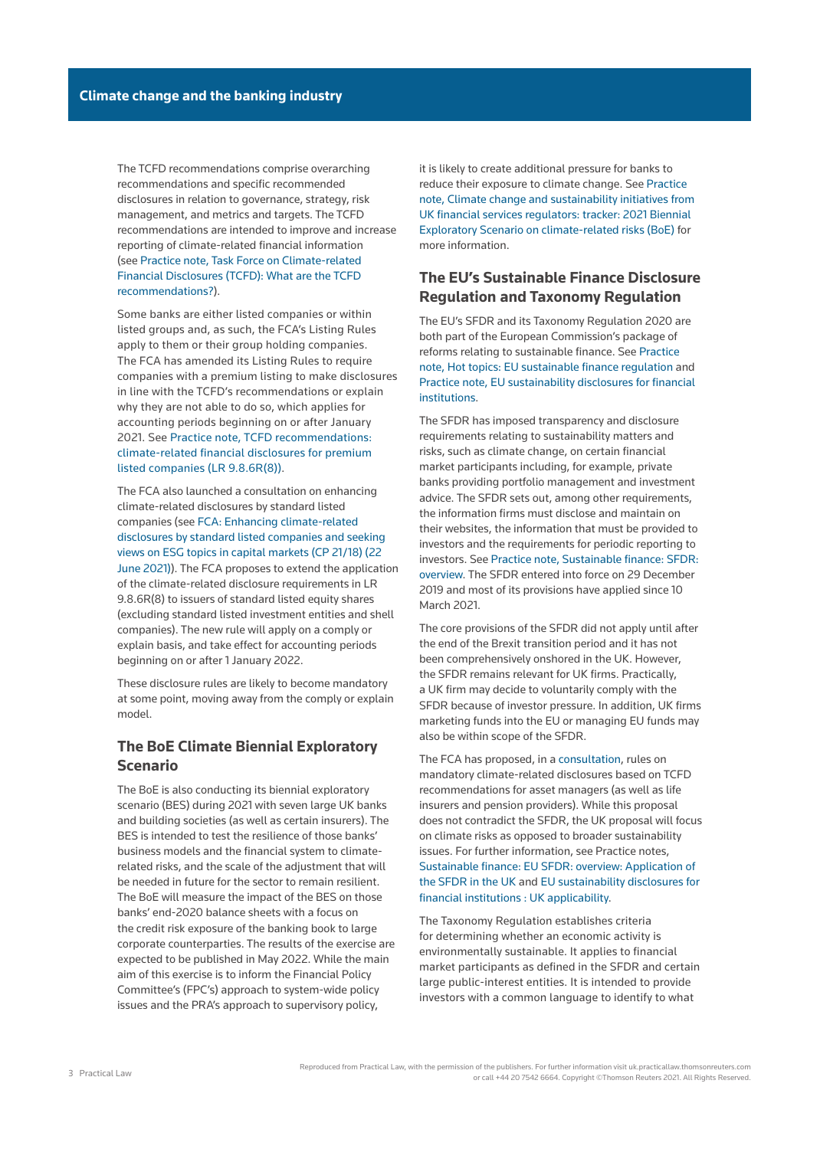The TCFD recommendations comprise overarching recommendations and specific recommended disclosures in relation to governance, strategy, risk management, and metrics and targets. The TCFD recommendations are intended to improve and increase reporting of climate-related financial information (see [Practice note, Task Force on Climate-related](http://uk.practicallaw.tr.com/w-022-4639)  [Financial Disclosures \(TCFD\): What are the TCFD](http://uk.practicallaw.tr.com/w-022-4639)  [recommendations?\)](http://uk.practicallaw.tr.com/w-022-4639).

Some banks are either listed companies or within listed groups and, as such, the FCA's Listing Rules apply to them or their group holding companies. The FCA has amended its Listing Rules to require companies with a premium listing to make disclosures in line with the TCFD's recommendations or explain why they are not able to do so, which applies for accounting periods beginning on or after January 2021. See [Practice note, TCFD recommendations:](http://uk.practicallaw.tr.com/w-029-2085)  [climate-related financial disclosures for premium](http://uk.practicallaw.tr.com/w-029-2085)  [listed companies \(LR 9.8.6R\(8\)\)](http://uk.practicallaw.tr.com/w-029-2085).

The FCA also launched a consultation on enhancing climate-related disclosures by standard listed companies (see [FCA: Enhancing climate-related](https://www.fca.org.uk/publication/consultation/cp21-18.pdf)  [disclosures by standard listed companies and seeking](https://www.fca.org.uk/publication/consultation/cp21-18.pdf)  [views on ESG topics in capital markets \(CP 21/18\) \(22](https://www.fca.org.uk/publication/consultation/cp21-18.pdf)  [June 2021\)\)](https://www.fca.org.uk/publication/consultation/cp21-18.pdf). The FCA proposes to extend the application of the climate-related disclosure requirements in LR 9.8.6R(8) to issuers of standard listed equity shares (excluding standard listed investment entities and shell companies). The new rule will apply on a comply or explain basis, and take effect for accounting periods beginning on or after 1 January 2022.

These disclosure rules are likely to become mandatory at some point, moving away from the comply or explain model.

## **The BoE Climate Biennial Exploratory Scenario**

The BoE is also conducting its biennial exploratory scenario (BES) during 2021 with seven large UK banks and building societies (as well as certain insurers). The BES is intended to test the resilience of those banks' business models and the financial system to climaterelated risks, and the scale of the adjustment that will be needed in future for the sector to remain resilient. The BoE will measure the impact of the BES on those banks' end-2020 balance sheets with a focus on the credit risk exposure of the banking book to large corporate counterparties. The results of the exercise are expected to be published in May 2022. While the main aim of this exercise is to inform the Financial Policy Committee's (FPC's) approach to system-wide policy issues and the PRA's approach to supervisory policy,

it is likely to create additional pressure for banks to reduce their exposure to climate change. See [Practice](http://uk.practicallaw.tr.com/w-023-4563)  [note, Climate change and sustainability initiatives from](http://uk.practicallaw.tr.com/w-023-4563)  [UK financial services regulators: tracker: 2021 Biennial](http://uk.practicallaw.tr.com/w-023-4563)  [Exploratory Scenario on climate-related risks \(BoE\)](http://uk.practicallaw.tr.com/w-023-4563) for more information.

## **The EU's Sustainable Finance Disclosure Regulation and Taxonomy Regulation**

The EU's [SFDR](https://uk.practicallaw.thomsonreuters.com/w-023-1439) and its [Taxonomy Regulation 2020](https://uk.practicallaw.thomsonreuters.com/w-026-1907) are both part of the European Commission's package of reforms relating to sustainable finance. See [Practice](http://uk.practicallaw.tr.com/w-018-9850)  [note, Hot topics: EU sustainable finance regulation](http://uk.practicallaw.tr.com/w-018-9850) and [Practice note, EU sustainability disclosures for financial](http://uk.practicallaw.tr.com/w-031-6730)  [institutions](http://uk.practicallaw.tr.com/w-031-6730).

The SFDR has imposed transparency and disclosure requirements relating to sustainability matters and risks, such as climate change, on certain financial market participants including, for example, private banks providing portfolio management and investment advice. The SFDR sets out, among other requirements, the information firms must disclose and maintain on their websites, the information that must be provided to investors and the requirements for periodic reporting to investors. See [Practice note, Sustainable finance: SFDR:](http://uk.practicallaw.tr.com/w-023-4185)  [overview.](http://uk.practicallaw.tr.com/w-023-4185) The SFDR entered into force on 29 December 2019 and most of its provisions have applied since 10 March 2021.

The core provisions of the SFDR did not apply until after the end of the Brexit transition period and it has not been comprehensively onshored in the UK. However, the SFDR remains relevant for UK firms. Practically, a UK firm may decide to voluntarily comply with the SFDR because of investor pressure. In addition, UK firms marketing funds into the EU or managing EU funds may also be within scope of the SFDR.

The FCA has proposed, in a [consultation,](https://www.fca.org.uk/publications/consultation-papers/cp-21-17-climate-related-disclosures-asset-managers-life-insurers-regulated-pensions) rules on mandatory climate-related disclosures based on TCFD recommendations for asset managers (as well as life insurers and pension providers). While this proposal does not contradict the SFDR, the UK proposal will focus on climate risks as opposed to broader sustainability issues. For further information, see Practice notes, [Sustainable finance: EU SFDR: overview: Application of](http://uk.practicallaw.tr.com/w-023-4185)  [the SFDR in the UK](http://uk.practicallaw.tr.com/w-023-4185) and [EU sustainability disclosures for](http://uk.practicallaw.tr.com/w-031-6730)  [financial institutions : UK applicability.](http://uk.practicallaw.tr.com/w-031-6730)

The Taxonomy Regulation establishes criteria for determining whether an economic activity is environmentally sustainable. It applies to financial market participants as defined in the SFDR and certain large public-interest entities. It is intended to provide investors with a common language to identify to what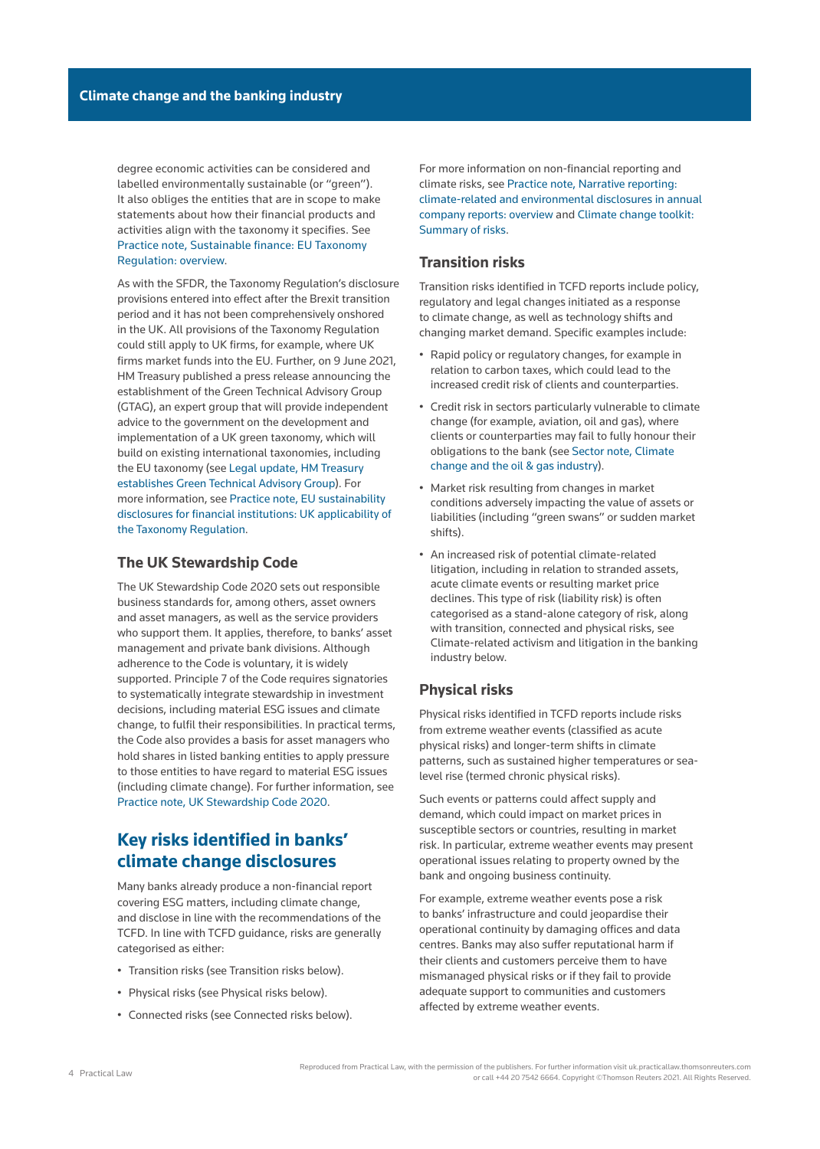degree economic activities can be considered and labelled environmentally sustainable (or "green"). It also obliges the entities that are in scope to make statements about how their financial products and activities align with the taxonomy it specifies. See [Practice note, Sustainable finance: EU Taxonomy](http://uk.practicallaw.tr.com/w-024-0189)  [Regulation: overview.](http://uk.practicallaw.tr.com/w-024-0189)

As with the SFDR, the Taxonomy Regulation's disclosure provisions entered into effect after the Brexit transition period and it has not been comprehensively onshored in the UK. All provisions of the Taxonomy Regulation could still apply to UK firms, for example, where UK firms market funds into the EU. Further, on 9 June 2021, HM Treasury published a press release announcing the establishment of the Green Technical Advisory Group (GTAG), an expert group that will provide independent advice to the government on the development and implementation of a UK green taxonomy, which will build on existing international taxonomies, including the EU taxonomy (see [Legal update, HM Treasury](http://uk.practicallaw.tr.com/w-031-3300)  [establishes Green Technical Advisory Group](http://uk.practicallaw.tr.com/w-031-3300)). For more information, see [Practice note, EU sustainability](http://uk.practicallaw.tr.com/w-031-6730)  [disclosures for financial institutions: UK applicability of](http://uk.practicallaw.tr.com/w-031-6730)  [the Taxonomy Regulation](http://uk.practicallaw.tr.com/w-031-6730).

### **The UK Stewardship Code**

The [UK Stewardship Code 2020](http://uk.practicallaw.thomsonreuters.com/w-022-5999?originationContext=document&vr=3.0&rs=PLUK1.0&transitionType=DocumentItem&contextData=(sc.Default)) sets out responsible business standards for, among others, asset owners and asset managers, as well as the service providers who support them. It applies, therefore, to banks' asset management and private bank divisions. Although adherence to the Code is voluntary, it is widely supported. Principle 7 of the Code requires signatories to systematically integrate stewardship in investment decisions, including material ESG issues and climate change, to fulfil their responsibilities. In practical terms, the Code also provides a basis for asset managers who hold shares in listed banking entities to apply pressure to those entities to have regard to material ESG issues (including climate change). For further information, see [Practice note, UK Stewardship Code 2020](http://uk.practicallaw.tr.com/6-502-2065).

## **Key risks identified in banks' climate change disclosures**

Many banks already produce a non-financial report covering ESG matters, including climate change, and disclose in line with the recommendations of the TCFD. In line with TCFD guidance, risks are generally categorised as either:

- Transition risks (see [Transition risks](file:///Production/Composition/Thomson/Incoming/2021/090621/#co_anchor_a100200_1) below).
- Physical risks (see [Physical risks](file:///Production/Composition/Thomson/Incoming/2021/090621/#co_anchor_a900748_1) below).
- Connected risks (see [Connected risks](file:///Production/Composition/Thomson/Incoming/2021/090621/#co_anchor_a217948_1) below).

For more information on non-financial reporting and climate risks, see [Practice note, Narrative reporting:](http://uk.practicallaw.tr.com/5-592-3688)  [climate-related and environmental disclosures in annual](http://uk.practicallaw.tr.com/5-592-3688)  [company reports: overview](http://uk.practicallaw.tr.com/5-592-3688) and [Climate change toolkit:](http://uk.practicallaw.tr.com/w-022-8191)  [Summary of risks](http://uk.practicallaw.tr.com/w-022-8191).

## **Transition risks**

Transition risks identified in TCFD reports include policy, regulatory and legal changes initiated as a response to climate change, as well as technology shifts and changing market demand. Specific examples include:

- Rapid policy or regulatory changes, for example in relation to carbon taxes, which could lead to the increased credit risk of clients and counterparties.
- Credit risk in sectors particularly vulnerable to climate change (for example, aviation, oil and gas), where clients or counterparties may fail to fully honour their obligations to the bank (see [Sector note, Climate](http://uk.practicallaw.tr.com/w-025-6105)  [change and the oil & gas industry\)](http://uk.practicallaw.tr.com/w-025-6105).
- Market risk resulting from changes in market conditions adversely impacting the value of assets or liabilities (including "green swans" or sudden market shifts).
- An increased risk of potential climate-related litigation, including in relation to stranded assets, acute climate events or resulting market price declines. This type of risk (liability risk) is often categorised as a stand-alone category of risk, along with transition, connected and physical risks, see [Climate-related activism and litigation in the banking](file:///Production/Composition/Thomson/Incoming/2021/090621/#co_anchor_a702621_1)  [industry](file:///Production/Composition/Thomson/Incoming/2021/090621/#co_anchor_a702621_1) below.

### **Physical risks**

Physical risks identified in TCFD reports include risks from extreme weather events (classified as acute physical risks) and longer-term shifts in climate patterns, such as sustained higher temperatures or sealevel rise (termed chronic physical risks).

Such events or patterns could affect supply and demand, which could impact on market prices in susceptible sectors or countries, resulting in market risk. In particular, extreme weather events may present operational issues relating to property owned by the bank and ongoing business continuity.

For example, extreme weather events pose a risk to banks' infrastructure and could jeopardise their operational continuity by damaging offices and data centres. Banks may also suffer reputational harm if their clients and customers perceive them to have mismanaged physical risks or if they fail to provide adequate support to communities and customers affected by extreme weather events.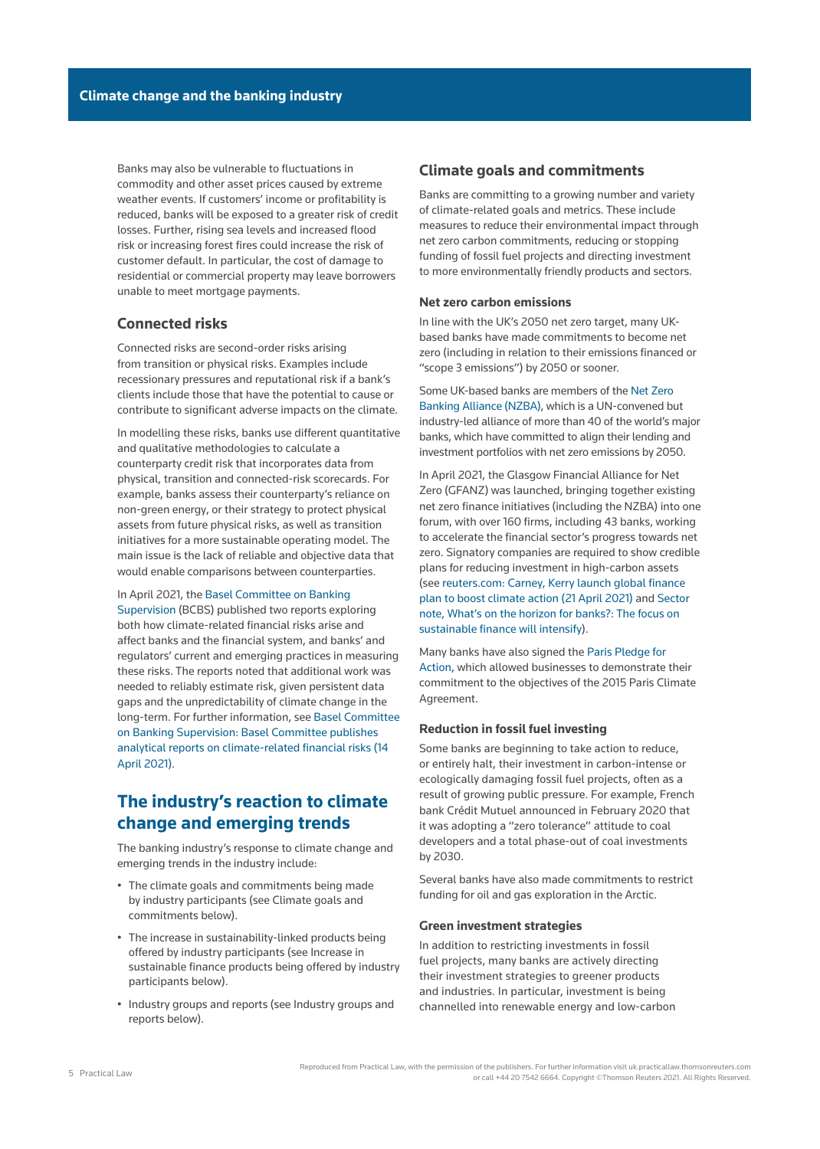Banks may also be vulnerable to fluctuations in commodity and other asset prices caused by extreme weather events. If customers' income or profitability is reduced, banks will be exposed to a greater risk of credit losses. Further, rising sea levels and increased flood risk or increasing forest fires could increase the risk of customer default. In particular, the cost of damage to residential or commercial property may leave borrowers unable to meet mortgage payments.

### **Connected risks**

Connected risks are second-order risks arising from transition or physical risks. Examples include recessionary pressures and reputational risk if a bank's clients include those that have the potential to cause or contribute to significant adverse impacts on the climate.

In modelling these risks, banks use different quantitative and qualitative methodologies to calculate a counterparty credit risk that incorporates data from physical, transition and connected-risk scorecards. For example, banks assess their counterparty's reliance on non-green energy, or their strategy to protect physical assets from future physical risks, as well as transition initiatives for a more sustainable operating model. The main issue is the lack of reliable and objective data that would enable comparisons between counterparties.

#### In April 2021, the [Basel Committee on Banking](https://www.bis.org/bcbs/)

[Supervision](https://www.bis.org/bcbs/) (BCBS) published two reports exploring both how climate-related financial risks arise and affect banks and the financial system, and banks' and regulators' current and emerging practices in measuring these risks. The reports noted that additional work was needed to reliably estimate risk, given persistent data gaps and the unpredictability of climate change in the long-term. For further information, see [Basel Committee](https://www.bis.org/press/p210414.htm)  [on Banking Supervision: Basel Committee publishes](https://www.bis.org/press/p210414.htm)  [analytical reports on climate-related financial risks \(14](https://www.bis.org/press/p210414.htm)  [April 2021\)](https://www.bis.org/press/p210414.htm).

## **The industry's reaction to climate change and emerging trends**

The banking industry's response to climate change and emerging trends in the industry include:

- The climate goals and commitments being made by industry participants (see [Climate goals and](file:///Production/Composition/Thomson/Incoming/2021/090621/#co_anchor_a991338_1)  [commitments](file:///Production/Composition/Thomson/Incoming/2021/090621/#co_anchor_a991338_1) below).
- The increase in sustainability-linked products being offered by industry participants (see [Increase in](file:///Production/Composition/Thomson/Incoming/2021/090621/#co_anchor_a281130_1)  [sustainable finance products being offered by industry](file:///Production/Composition/Thomson/Incoming/2021/090621/#co_anchor_a281130_1)  [participants](file:///Production/Composition/Thomson/Incoming/2021/090621/#co_anchor_a281130_1) below).
- Industry groups and reports (see [Industry groups and](file:///Production/Composition/Thomson/Incoming/2021/090621/#co_anchor_a490215_1)  [reports](file:///Production/Composition/Thomson/Incoming/2021/090621/#co_anchor_a490215_1) below).

### **Climate goals and commitments**

Banks are committing to a growing number and variety of climate-related goals and metrics. These include measures to reduce their environmental impact through net zero carbon commitments, reducing or stopping funding of fossil fuel projects and directing investment to more environmentally friendly products and sectors.

#### **Net zero carbon emissions**

In line with the UK's 2050 net zero target, many UKbased banks have made commitments to become net zero (including in relation to their emissions financed or "scope 3 emissions") by 2050 or sooner.

Some UK-based banks are members of the [Net Zero](https://www.unepfi.org/net-zero-banking/)  [Banking Alliance \(NZBA\)](https://www.unepfi.org/net-zero-banking/), which is a UN-convened but industry-led alliance of more than 40 of the world's major banks, which have committed to align their lending and investment portfolios with net zero emissions by 2050.

In April 2021, the Glasgow Financial Alliance for Net Zero (GFANZ) was launched, bringing together existing net zero finance initiatives (including the NZBA) into one forum, with over 160 firms, including 43 banks, working to accelerate the financial sector's progress towards net zero. Signatory companies are required to show credible plans for reducing investment in high-carbon assets (see [reuters.com: Carney, Kerry launch global finance](https://www.reuters.com/business/sustainable-business/carney-kerry-launch-global-finance-plan-boost-climate-action-2021-04-21/)  [plan to boost climate action \(21 April 2021\)](https://www.reuters.com/business/sustainable-business/carney-kerry-launch-global-finance-plan-boost-climate-action-2021-04-21/) and [Sector](http://uk.practicallaw.tr.com/w-024-0578)  [note, What's on the horizon for banks?: The focus on](http://uk.practicallaw.tr.com/w-024-0578)  [sustainable finance will intensify\)](http://uk.practicallaw.tr.com/w-024-0578).

Many banks have also signed the [Paris Pledge for](http://parispledgeforaction.org/)  [Action](http://parispledgeforaction.org/), which allowed businesses to demonstrate their commitment to the objectives of the 2015 Paris Climate Agreement.

### **Reduction in fossil fuel investing**

Some banks are beginning to take action to reduce, or entirely halt, their investment in carbon-intense or ecologically damaging fossil fuel projects, often as a result of growing public pressure. For example, French bank Crédit Mutuel announced in February 2020 that it was adopting a "zero tolerance" attitude to coal developers and a total phase-out of coal investments by 2030.

Several banks have also made commitments to restrict funding for oil and gas exploration in the Arctic.

### **Green investment strategies**

In addition to restricting investments in fossil fuel projects, many banks are actively directing their investment strategies to greener products and industries. In particular, investment is being channelled into renewable energy and low-carbon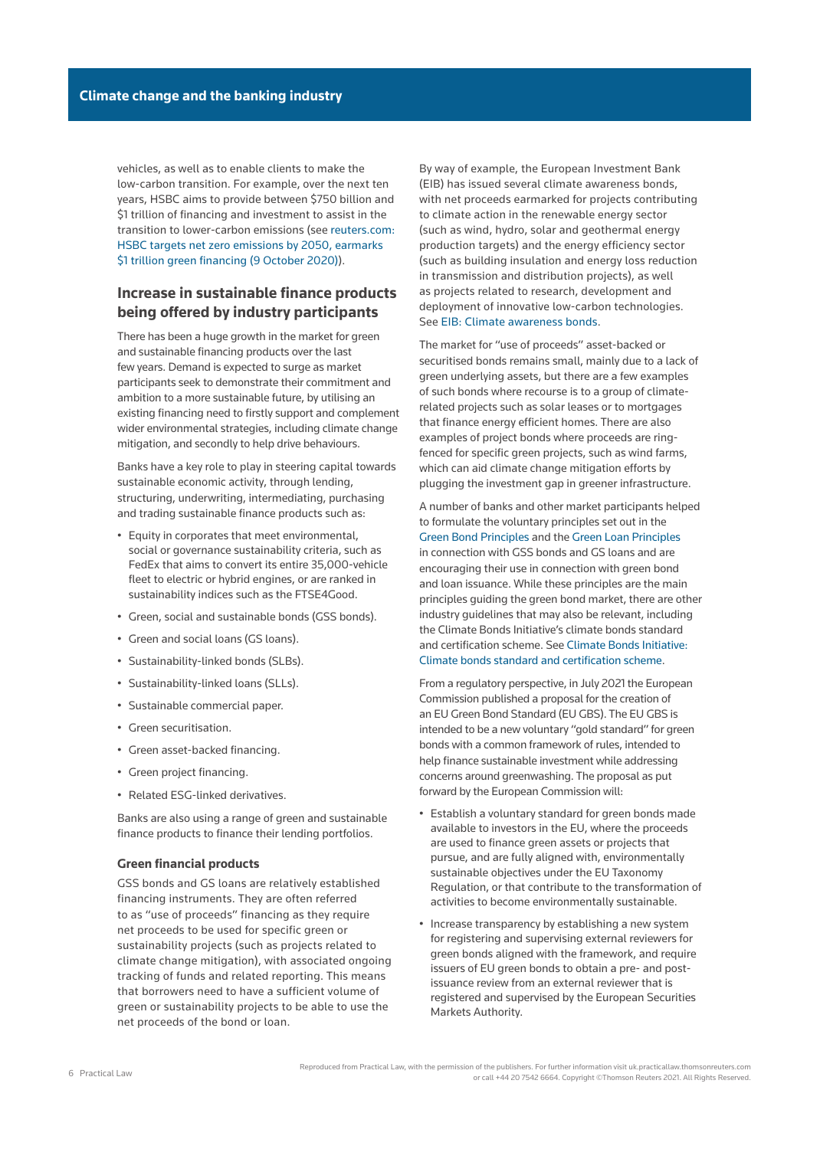vehicles, as well as to enable clients to make the low-carbon transition. For example, over the next ten years, HSBC aims to provide between \$750 billion and \$1 trillion of financing and investment to assist in the transition to lower-carbon emissions (see [reuters.com:](https://www.reuters.com/article/hsbc-hldg-climatechange-exclusive-int-idUSKBN26U0DP)  [HSBC targets net zero emissions by 2050, earmarks](https://www.reuters.com/article/hsbc-hldg-climatechange-exclusive-int-idUSKBN26U0DP)  [\\$1 trillion green financing \(9 October 2020\)\)](https://www.reuters.com/article/hsbc-hldg-climatechange-exclusive-int-idUSKBN26U0DP).

### **Increase in sustainable finance products being offered by industry participants**

There has been a huge growth in the market for green and sustainable financing products over the last few years. Demand is expected to surge as market participants seek to demonstrate their commitment and ambition to a more sustainable future, by utilising an existing financing need to firstly support and complement wider environmental strategies, including climate change mitigation, and secondly to help drive behaviours.

Banks have a key role to play in steering capital towards sustainable economic activity, through lending, structuring, underwriting, intermediating, purchasing and trading sustainable finance products such as:

- Equity in corporates that meet environmental, social or governance sustainability criteria, such as FedEx that aims to convert its entire 35,000-vehicle fleet to electric or hybrid engines, or are ranked in sustainability indices such as the FTSE4Good.
- Green, social and sustainable bonds (GSS bonds).
- Green and social loans (GS loans).
- Sustainability-linked bonds (SLBs).
- Sustainability-linked loans (SLLs).
- Sustainable commercial paper.
- Green securitisation.
- Green asset-backed financing.
- Green project financing.
- Related ESG-linked derivatives.

Banks are also using a range of green and sustainable finance products to finance their lending portfolios.

#### **Green financial products**

GSS bonds and GS loans are relatively established financing instruments. They are often referred to as "use of proceeds" financing as they require net proceeds to be used for specific green or sustainability projects (such as projects related to climate change mitigation), with associated ongoing tracking of funds and related reporting. This means that borrowers need to have a sufficient volume of green or sustainability projects to be able to use the net proceeds of the bond or loan.

By way of example, the European Investment Bank (EIB) has issued several climate awareness bonds, with net proceeds earmarked for projects contributing to climate action in the renewable energy sector (such as wind, hydro, solar and geothermal energy production targets) and the energy efficiency sector (such as building insulation and energy loss reduction in transmission and distribution projects), as well as projects related to research, development and deployment of innovative low-carbon technologies. See [EIB: Climate awareness bonds](https://www.eib.org/en/investor_relations/cab/index.htm).

The market for "use of proceeds" asset-backed or securitised bonds remains small, mainly due to a lack of green underlying assets, but there are a few examples of such bonds where recourse is to a group of climaterelated projects such as solar leases or to mortgages that finance energy efficient homes. There are also examples of project bonds where proceeds are ringfenced for specific green projects, such as wind farms, which can aid climate change mitigation efforts by plugging the investment gap in greener infrastructure.

A number of banks and other market participants helped to formulate the voluntary principles set out in the [Green Bond Principles](https://www.icmagroup.org/sustainable-finance/the-principles-guidelines-and-handbooks/green-bond-principles-gbp/) and the [Green Loan Principles](https://www.lma.eu.com/sustainable-lending) in connection with GSS bonds and GS loans and are encouraging their use in connection with green bond and loan issuance. While these principles are the main principles guiding the green bond market, there are other industry guidelines that may also be relevant, including the Climate Bonds Initiative's climate bonds standard and certification scheme. See [Climate Bonds Initiative:](https://www.climatebonds.net/standard)  [Climate bonds standard and certification scheme.](https://www.climatebonds.net/standard)

From a regulatory perspective, in July 2021 the European Commission published a proposal for the creation of an EU Green Bond Standard (EU GBS). The EU GBS is intended to be a new voluntary "gold standard" for green bonds with a common framework of rules, intended to help finance sustainable investment while addressing concerns around greenwashing. The proposal as put forward by the European Commission will:

- Establish a voluntary standard for green bonds made available to investors in the EU, where the proceeds are used to finance green assets or projects that pursue, and are fully aligned with, environmentally sustainable objectives under the EU Taxonomy Regulation, or that contribute to the transformation of activities to become environmentally sustainable.
- Increase transparency by establishing a new system for registering and supervising external reviewers for green bonds aligned with the framework, and require issuers of EU green bonds to obtain a pre- and postissuance review from an external reviewer that is registered and supervised by the European Securities Markets Authority.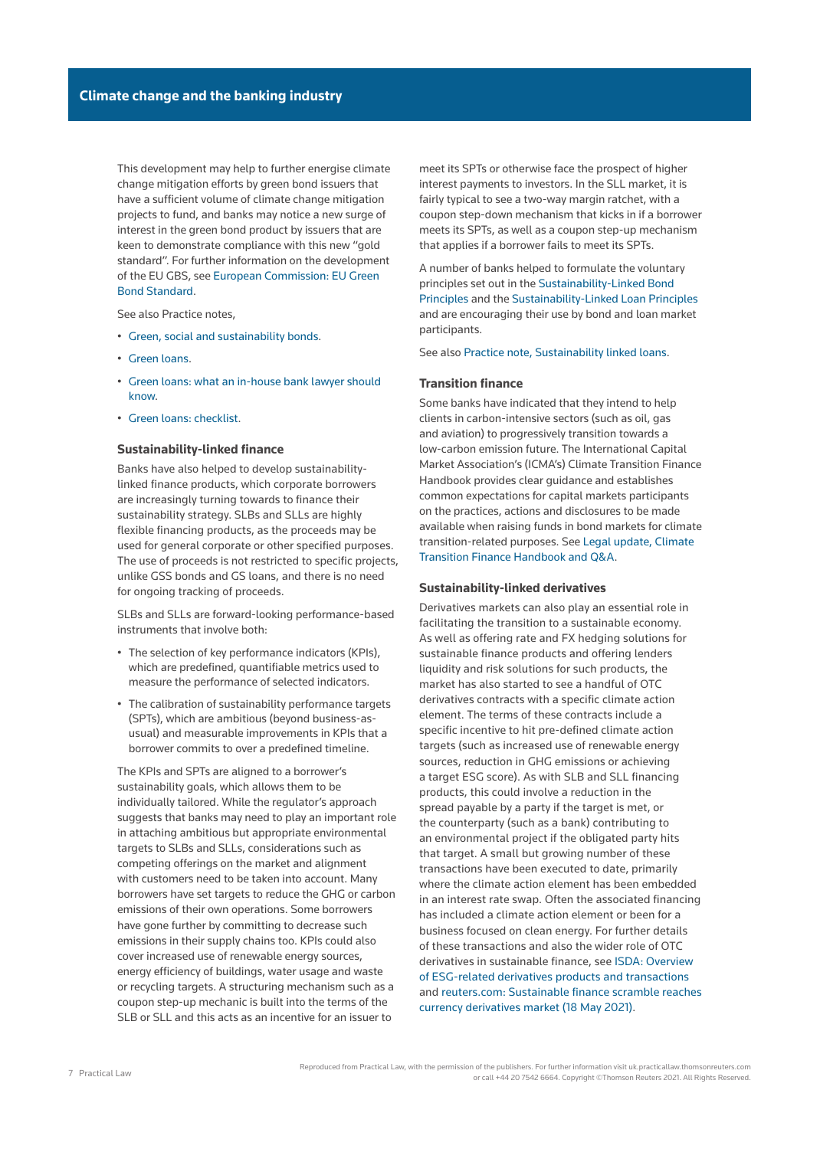This development may help to further energise climate change mitigation efforts by green bond issuers that have a sufficient volume of climate change mitigation projects to fund, and banks may notice a new surge of interest in the green bond product by issuers that are keen to demonstrate compliance with this new "gold standard". For further information on the development of the EU GBS, see [European Commission: EU Green](https://ec.europa.eu/info/business-economy-euro/banking-and-finance/sustainable-finance/eu-green-bond-standard_en)  [Bond Standard](https://ec.europa.eu/info/business-economy-euro/banking-and-finance/sustainable-finance/eu-green-bond-standard_en).

See also Practice notes,

- [Green, social and sustainability bonds.](http://uk.practicallaw.tr.com/w-019-9646)
- [Green loans.](http://uk.practicallaw.tr.com/w-029-2024)
- [Green loans: what an in-house bank lawyer should](http://uk.practicallaw.tr.com/w-029-8369)  [know.](http://uk.practicallaw.tr.com/w-029-8369)
- [Green loans: checklist.](http://uk.practicallaw.tr.com/w-031-4458)

### **Sustainability-linked finance**

Banks have also helped to develop sustainabilitylinked finance products, which corporate borrowers are increasingly turning towards to finance their sustainability strategy. SLBs and SLLs are highly flexible financing products, as the proceeds may be used for general corporate or other specified purposes. The use of proceeds is not restricted to specific projects, unlike GSS bonds and GS loans, and there is no need for ongoing tracking of proceeds.

SLBs and SLLs are forward-looking performance-based instruments that involve both:

- The selection of key performance indicators (KPIs), which are predefined, quantifiable metrics used to measure the performance of selected indicators.
- The calibration of sustainability performance targets (SPTs), which are ambitious (beyond business-asusual) and measurable improvements in KPIs that a borrower commits to over a predefined timeline.

The KPIs and SPTs are aligned to a borrower's sustainability goals, which allows them to be individually tailored. While the regulator's approach suggests that banks may need to play an important role in attaching ambitious but appropriate environmental targets to SLBs and SLLs, considerations such as competing offerings on the market and alignment with customers need to be taken into account. Many borrowers have set targets to reduce the GHG or carbon emissions of their own operations. Some borrowers have gone further by committing to decrease such emissions in their supply chains too. KPIs could also cover increased use of renewable energy sources, energy efficiency of buildings, water usage and waste or recycling targets. A structuring mechanism such as a coupon step-up mechanic is built into the terms of the SLB or SLL and this acts as an incentive for an issuer to

meet its SPTs or otherwise face the prospect of higher interest payments to investors. In the SLL market, it is fairly typical to see a two-way margin ratchet, with a coupon step-down mechanism that kicks in if a borrower meets its SPTs, as well as a coupon step-up mechanism that applies if a borrower fails to meet its SPTs.

A number of banks helped to formulate the voluntary principles set out in the [Sustainability-Linked Bond](https://www.icmagroup.org/sustainable-finance/the-principles-guidelines-and-handbooks/sustainability-linked-bond-principles-slbp/)  [Principles](https://www.icmagroup.org/sustainable-finance/the-principles-guidelines-and-handbooks/sustainability-linked-bond-principles-slbp/) and the [Sustainability-Linked Loan Principles](https://www.lma.eu.com/sustainable-lending) and are encouraging their use by bond and loan market participants.

See also [Practice note, Sustainability linked loans](http://uk.practicallaw.tr.com/w-029-9593).

### **Transition finance**

Some banks have indicated that they intend to help clients in carbon-intensive sectors (such as oil, gas and aviation) to progressively transition towards a low-carbon emission future. The International Capital Market Association's (ICMA's) Climate Transition Finance Handbook provides clear guidance and establishes common expectations for capital markets participants on the practices, actions and disclosures to be made available when raising funds in bond markets for climate transition-related purposes. See [Legal update, Climate](http://uk.practicallaw.tr.com/w-028-7512)  [Transition Finance Handbook and Q&A.](http://uk.practicallaw.tr.com/w-028-7512)

#### **Sustainability-linked derivatives**

Derivatives markets can also play an essential role in facilitating the transition to a sustainable economy. As well as offering rate and FX hedging solutions for sustainable finance products and offering lenders liquidity and risk solutions for such products, the market has also started to see a handful of OTC derivatives contracts with a specific climate action element. The terms of these contracts include a specific incentive to hit pre-defined climate action targets (such as increased use of renewable energy sources, reduction in GHG emissions or achieving a target ESG score). As with SLB and SLL financing products, this could involve a reduction in the spread payable by a party if the target is met, or the counterparty (such as a bank) contributing to an environmental project if the obligated party hits that target. A small but growing number of these transactions have been executed to date, primarily where the climate action element has been embedded in an interest rate swap. Often the associated financing has included a climate action element or been for a business focused on clean energy. For further details of these transactions and also the wider role of OTC derivatives in sustainable finance, see [ISDA: Overview](https://www.isda.org/2021/01/11/overview-of-esg-related-derivatives-products-and-transactions/)  [of ESG-related derivatives products and transactions](https://www.isda.org/2021/01/11/overview-of-esg-related-derivatives-products-and-transactions/) and [reuters.com: Sustainable finance scramble reaches](https://www.reuters.com/business/finance/sustainable-finance-scramble-reaches-currency-derivatives-market-2021-05-18/)  [currency derivatives market \(18 May 2021\).](https://www.reuters.com/business/finance/sustainable-finance-scramble-reaches-currency-derivatives-market-2021-05-18/)